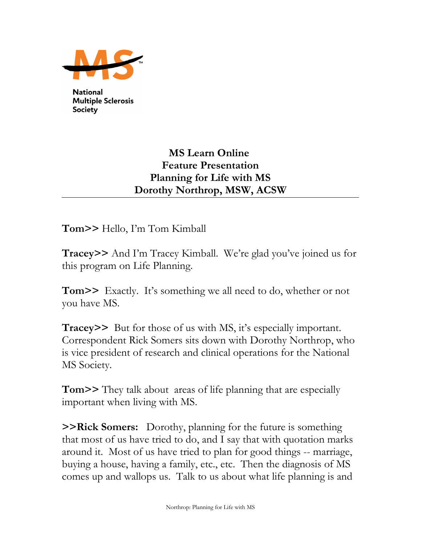

**National Multiple Sclerosis Society** 

## **MS Learn Online Feature Presentation Planning for Life with MS Dorothy Northrop, MSW, ACSW**

**Tom>>** Hello, I'm Tom Kimball

**Tracey>>** And I'm Tracey Kimball. We're glad you've joined us for this program on Life Planning.

**Tom>>** Exactly. It's something we all need to do, whether or not you have MS.

**Tracey>>** But for those of us with MS, it's especially important. Correspondent Rick Somers sits down with Dorothy Northrop, who is vice president of research and clinical operations for the National MS Society.

**Tom>>** They talk about areas of life planning that are especially important when living with MS.

**>>Rick Somers:** Dorothy, planning for the future is something that most of us have tried to do, and I say that with quotation marks around it. Most of us have tried to plan for good things -- marriage, buying a house, having a family, etc., etc. Then the diagnosis of MS comes up and wallops us. Talk to us about what life planning is and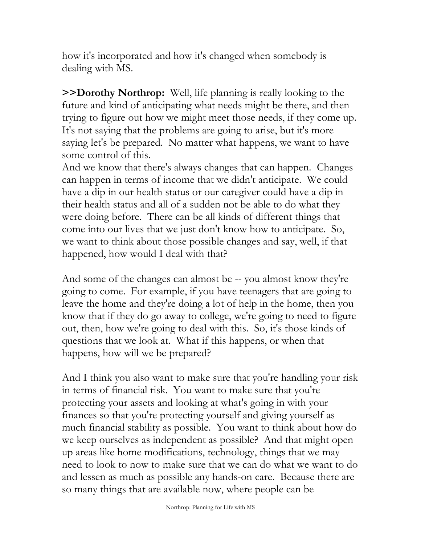how it's incorporated and how it's changed when somebody is dealing with MS.

**>>Dorothy Northrop:** Well, life planning is really looking to the future and kind of anticipating what needs might be there, and then trying to figure out how we might meet those needs, if they come up. It's not saying that the problems are going to arise, but it's more saying let's be prepared. No matter what happens, we want to have some control of this.

And we know that there's always changes that can happen. Changes can happen in terms of income that we didn't anticipate. We could have a dip in our health status or our caregiver could have a dip in their health status and all of a sudden not be able to do what they were doing before. There can be all kinds of different things that come into our lives that we just don't know how to anticipate. So, we want to think about those possible changes and say, well, if that happened, how would I deal with that?

And some of the changes can almost be -- you almost know they're going to come. For example, if you have teenagers that are going to leave the home and they're doing a lot of help in the home, then you know that if they do go away to college, we're going to need to figure out, then, how we're going to deal with this. So, it's those kinds of questions that we look at. What if this happens, or when that happens, how will we be prepared?

And I think you also want to make sure that you're handling your risk in terms of financial risk. You want to make sure that you're protecting your assets and looking at what's going in with your finances so that you're protecting yourself and giving yourself as much financial stability as possible. You want to think about how do we keep ourselves as independent as possible? And that might open up areas like home modifications, technology, things that we may need to look to now to make sure that we can do what we want to do and lessen as much as possible any hands-on care. Because there are so many things that are available now, where people can be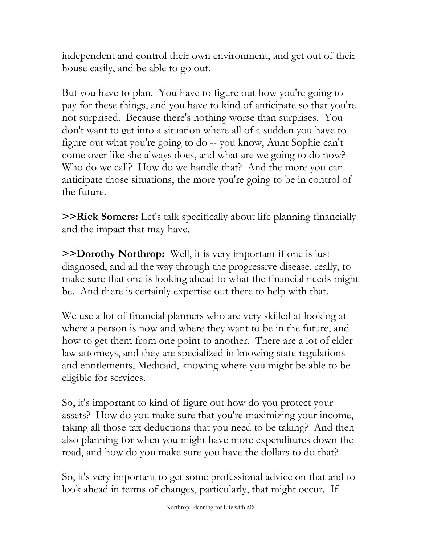independent and control their own environment, and get out of their house easily, and be able to go out.

But you have to plan. You have to figure out how you're going to pay for these things, and you have to kind of anticipate so that you're not surprised. Because there's nothing worse than surprises. You don't want to get into a situation where all of a sudden you have to figure out what you're going to do -- you know, Aunt Sophie can't come over like she always does, and what are we going to do now? Who do we call? How do we handle that? And the more you can anticipate those situations, the more you're going to be in control of the future.

**>>Rick Somers:** Let's talk specifically about life planning financially and the impact that may have.

**>>Dorothy Northrop:** Well, it is very important if one is just diagnosed, and all the way through the progressive disease, really, to make sure that one is looking ahead to what the financial needs might be. And there is certainly expertise out there to help with that.

We use a lot of financial planners who are very skilled at looking at where a person is now and where they want to be in the future, and how to get them from one point to another. There are a lot of elder law attorneys, and they are specialized in knowing state regulations and entitlements, Medicaid, knowing where you might be able to be eligible for services.

So, it's important to kind of figure out how do you protect your assets? How do you make sure that you're maximizing your income, taking all those tax deductions that you need to be taking? And then also planning for when you might have more expenditures down the road, and how do you make sure you have the dollars to do that?

So, it's very important to get some professional advice on that and to look ahead in terms of changes, particularly, that might occur. If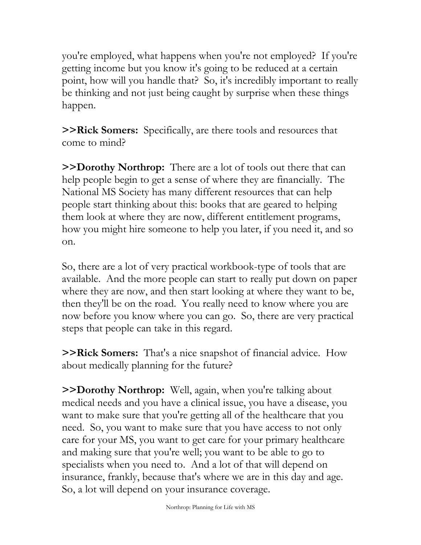you're employed, what happens when you're not employed? If you're getting income but you know it's going to be reduced at a certain point, how will you handle that? So, it's incredibly important to really be thinking and not just being caught by surprise when these things happen.

**>>Rick Somers:** Specifically, are there tools and resources that come to mind?

**>>Dorothy Northrop:** There are a lot of tools out there that can help people begin to get a sense of where they are financially. The National MS Society has many different resources that can help people start thinking about this: books that are geared to helping them look at where they are now, different entitlement programs, how you might hire someone to help you later, if you need it, and so on.

So, there are a lot of very practical workbook-type of tools that are available. And the more people can start to really put down on paper where they are now, and then start looking at where they want to be, then they'll be on the road. You really need to know where you are now before you know where you can go. So, there are very practical steps that people can take in this regard.

**>>Rick Somers:** That's a nice snapshot of financial advice. How about medically planning for the future?

**>>Dorothy Northrop:** Well, again, when you're talking about medical needs and you have a clinical issue, you have a disease, you want to make sure that you're getting all of the healthcare that you need. So, you want to make sure that you have access to not only care for your MS, you want to get care for your primary healthcare and making sure that you're well; you want to be able to go to specialists when you need to. And a lot of that will depend on insurance, frankly, because that's where we are in this day and age. So, a lot will depend on your insurance coverage.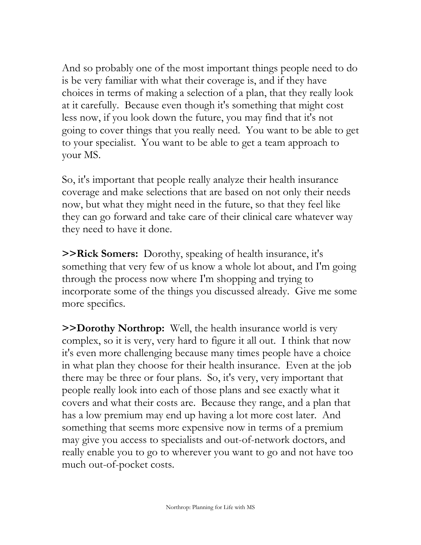And so probably one of the most important things people need to do is be very familiar with what their coverage is, and if they have choices in terms of making a selection of a plan, that they really look at it carefully. Because even though it's something that might cost less now, if you look down the future, you may find that it's not going to cover things that you really need. You want to be able to get to your specialist. You want to be able to get a team approach to your MS.

So, it's important that people really analyze their health insurance coverage and make selections that are based on not only their needs now, but what they might need in the future, so that they feel like they can go forward and take care of their clinical care whatever way they need to have it done.

**>>Rick Somers:** Dorothy, speaking of health insurance, it's something that very few of us know a whole lot about, and I'm going through the process now where I'm shopping and trying to incorporate some of the things you discussed already. Give me some more specifics.

**>>Dorothy Northrop:** Well, the health insurance world is very complex, so it is very, very hard to figure it all out. I think that now it's even more challenging because many times people have a choice in what plan they choose for their health insurance. Even at the job there may be three or four plans. So, it's very, very important that people really look into each of those plans and see exactly what it covers and what their costs are. Because they range, and a plan that has a low premium may end up having a lot more cost later. And something that seems more expensive now in terms of a premium may give you access to specialists and out-of-network doctors, and really enable you to go to wherever you want to go and not have too much out-of-pocket costs.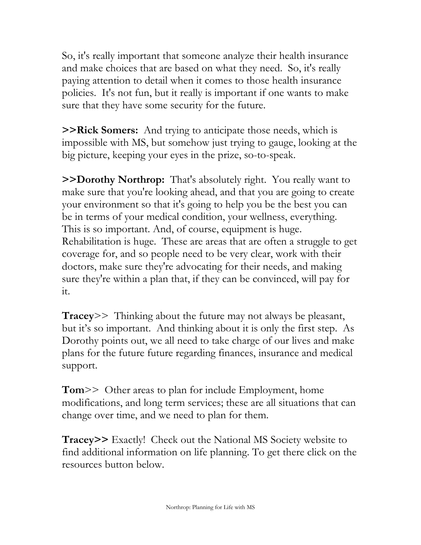So, it's really important that someone analyze their health insurance and make choices that are based on what they need. So, it's really paying attention to detail when it comes to those health insurance policies. It's not fun, but it really is important if one wants to make sure that they have some security for the future.

**>>Rick Somers:** And trying to anticipate those needs, which is impossible with MS, but somehow just trying to gauge, looking at the big picture, keeping your eyes in the prize, so-to-speak.

**>>Dorothy Northrop:** That's absolutely right. You really want to make sure that you're looking ahead, and that you are going to create your environment so that it's going to help you be the best you can be in terms of your medical condition, your wellness, everything. This is so important. And, of course, equipment is huge. Rehabilitation is huge. These are areas that are often a struggle to get coverage for, and so people need to be very clear, work with their doctors, make sure they're advocating for their needs, and making sure they're within a plan that, if they can be convinced, will pay for it.

**Tracey**>> Thinking about the future may not always be pleasant, but it's so important. And thinking about it is only the first step. As Dorothy points out, we all need to take charge of our lives and make plans for the future future regarding finances, insurance and medical support.

**Tom**>> Other areas to plan for include Employment, home modifications, and long term services; these are all situations that can change over time, and we need to plan for them.

**Tracey>>** Exactly! Check out the National MS Society website to find additional information on life planning. To get there click on the resources button below.